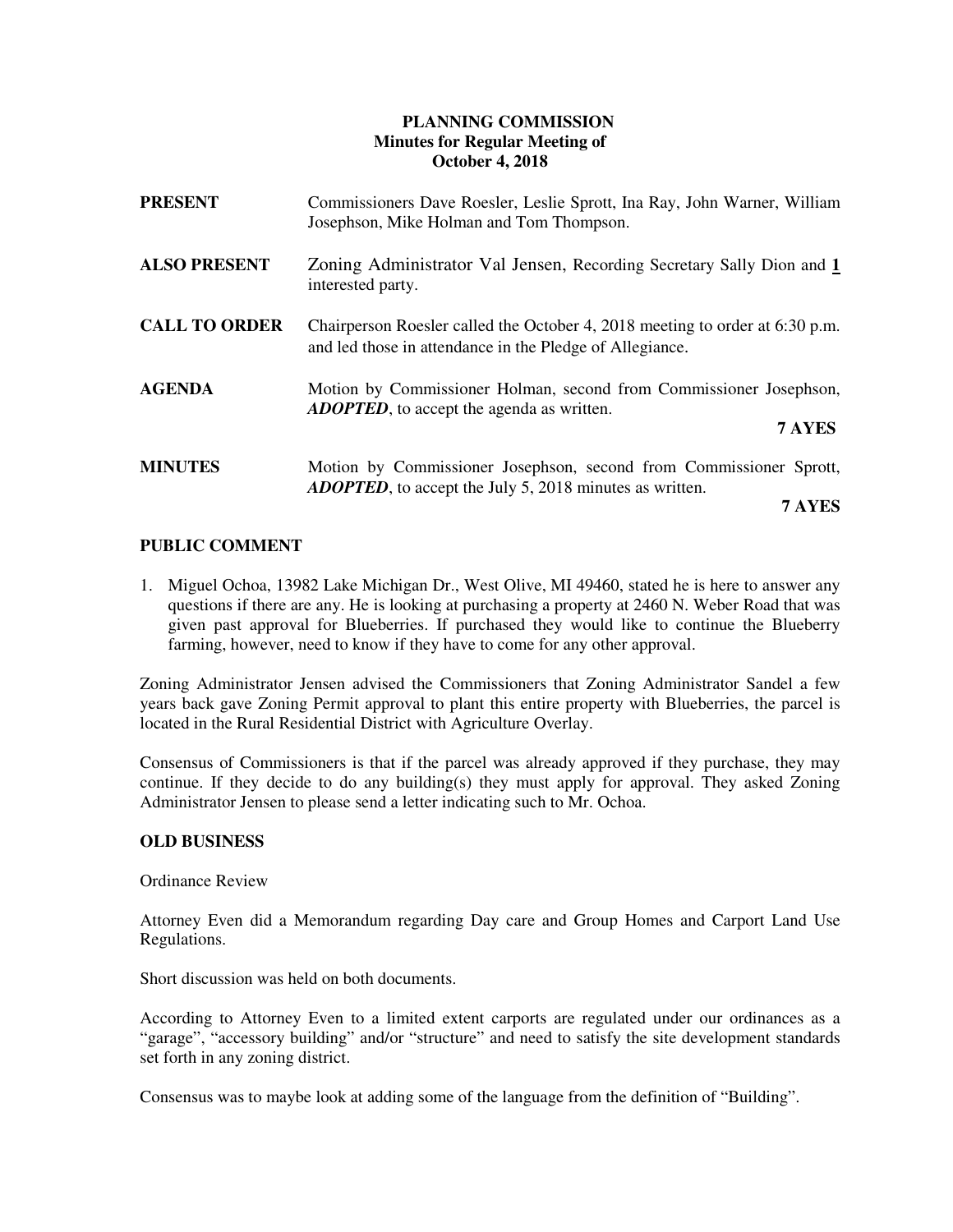# **PLANNING COMMISSION Minutes for Regular Meeting of October 4, 2018**

| <b>PRESENT</b>       | Commissioners Dave Roesler, Leslie Sprott, Ina Ray, John Warner, William<br>Josephson, Mike Holman and Tom Thompson.                       |
|----------------------|--------------------------------------------------------------------------------------------------------------------------------------------|
| <b>ALSO PRESENT</b>  | Zoning Administrator Val Jensen, Recording Secretary Sally Dion and 1<br>interested party.                                                 |
| <b>CALL TO ORDER</b> | Chairperson Roesler called the October 4, 2018 meeting to order at $6:30$ p.m.<br>and led those in attendance in the Pledge of Allegiance. |
| <b>AGENDA</b>        | Motion by Commissioner Holman, second from Commissioner Josephson,<br><b>ADOPTED</b> , to accept the agenda as written.<br>7 AYES          |
| <b>MINUTES</b>       | Motion by Commissioner Josephson, second from Commissioner Sprott,<br><b>ADOPTED</b> , to accept the July 5, 2018 minutes as written.      |

 **7 AYES**

## **PUBLIC COMMENT**

1. Miguel Ochoa, 13982 Lake Michigan Dr., West Olive, MI 49460, stated he is here to answer any questions if there are any. He is looking at purchasing a property at 2460 N. Weber Road that was given past approval for Blueberries. If purchased they would like to continue the Blueberry farming, however, need to know if they have to come for any other approval.

Zoning Administrator Jensen advised the Commissioners that Zoning Administrator Sandel a few years back gave Zoning Permit approval to plant this entire property with Blueberries, the parcel is located in the Rural Residential District with Agriculture Overlay.

Consensus of Commissioners is that if the parcel was already approved if they purchase, they may continue. If they decide to do any building(s) they must apply for approval. They asked Zoning Administrator Jensen to please send a letter indicating such to Mr. Ochoa.

## **OLD BUSINESS**

Ordinance Review

 Attorney Even did a Memorandum regarding Day care and Group Homes and Carport Land Use Regulations.

Short discussion was held on both documents.

According to Attorney Even to a limited extent carports are regulated under our ordinances as a "garage", "accessory building" and/or "structure" and need to satisfy the site development standards set forth in any zoning district.

Consensus was to maybe look at adding some of the language from the definition of "Building".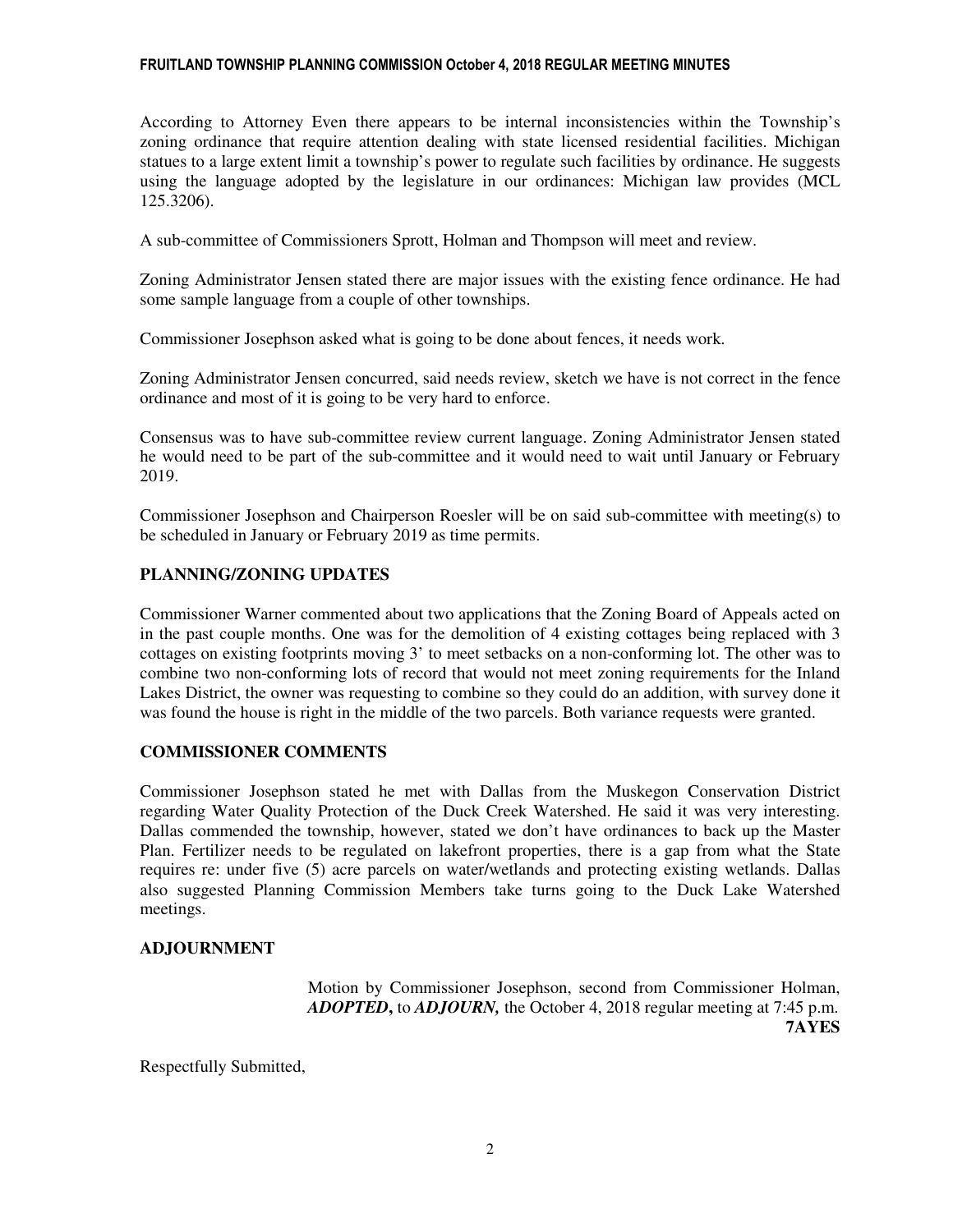#### FRUITLAND TOWNSHIP PLANNING COMMISSION October 4, 2018 REGULAR MEETING MINUTES

According to Attorney Even there appears to be internal inconsistencies within the Township's zoning ordinance that require attention dealing with state licensed residential facilities. Michigan statues to a large extent limit a township's power to regulate such facilities by ordinance. He suggests using the language adopted by the legislature in our ordinances: Michigan law provides (MCL 125.3206).

A sub-committee of Commissioners Sprott, Holman and Thompson will meet and review.

Zoning Administrator Jensen stated there are major issues with the existing fence ordinance. He had some sample language from a couple of other townships.

Commissioner Josephson asked what is going to be done about fences, it needs work.

Zoning Administrator Jensen concurred, said needs review, sketch we have is not correct in the fence ordinance and most of it is going to be very hard to enforce.

Consensus was to have sub-committee review current language. Zoning Administrator Jensen stated he would need to be part of the sub-committee and it would need to wait until January or February 2019.

Commissioner Josephson and Chairperson Roesler will be on said sub-committee with meeting(s) to be scheduled in January or February 2019 as time permits.

### **PLANNING/ZONING UPDATES**

Commissioner Warner commented about two applications that the Zoning Board of Appeals acted on in the past couple months. One was for the demolition of 4 existing cottages being replaced with 3 cottages on existing footprints moving 3' to meet setbacks on a non-conforming lot. The other was to combine two non-conforming lots of record that would not meet zoning requirements for the Inland Lakes District, the owner was requesting to combine so they could do an addition, with survey done it was found the house is right in the middle of the two parcels. Both variance requests were granted.

#### **COMMISSIONER COMMENTS**

Commissioner Josephson stated he met with Dallas from the Muskegon Conservation District regarding Water Quality Protection of the Duck Creek Watershed. He said it was very interesting. Dallas commended the township, however, stated we don't have ordinances to back up the Master Plan. Fertilizer needs to be regulated on lakefront properties, there is a gap from what the State requires re: under five (5) acre parcels on water/wetlands and protecting existing wetlands. Dallas also suggested Planning Commission Members take turns going to the Duck Lake Watershed meetings.

## **ADJOURNMENT**

Motion by Commissioner Josephson, second from Commissioner Holman, *ADOPTED***,** to *ADJOURN,* the October 4, 2018 regular meeting at 7:45 p.m. **7AYES** 

Respectfully Submitted,